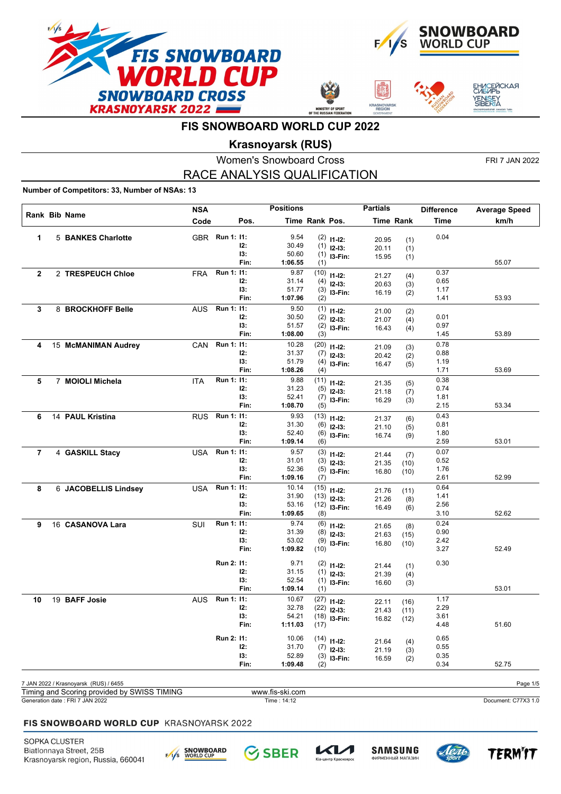







## **Krasnoyarsk (RUS)**

Women's Snowboard Cross FRI 7 JAN 2022 RACE ANALYSIS QUALIFICATION

### **Number of Competitors: 33, Number of NSAs: 13**

|                | Rank Bib Name                               | <b>NSA</b> |                | <b>Positions</b> |                |                               | <b>Partials</b> |            | <b>Difference</b> | <b>Average Speed</b> |
|----------------|---------------------------------------------|------------|----------------|------------------|----------------|-------------------------------|-----------------|------------|-------------------|----------------------|
|                |                                             | Code       | Pos.           |                  | Time Rank Pos. |                               |                 | Time Rank  | <b>Time</b>       | km/h                 |
| 1              | 5 BANKES Charlotte                          |            | GBR Run 1: 11: | 9.54             |                | $(2)$ 11-12:                  | 20.95           |            | 0.04              |                      |
|                |                                             |            | 12:            | 30.49            |                | $(1)$ 12-13:                  | 20.11           | (1)<br>(1) |                   |                      |
|                |                                             |            | 13:            | 50.60            |                | $(1)$ 13-Fin:                 | 15.95           | (1)        |                   |                      |
|                |                                             |            | Fin:           | 1:06.55          | (1)            |                               |                 |            |                   | 55.07                |
| $\overline{2}$ | 2 TRESPEUCH Chloe                           | FRA        | Run 1: 11:     | 9.87             |                | $(10)$ 11-12:                 | 21.27           | (4)        | 0.37              |                      |
|                |                                             |            | 12:            | 31.14            |                | $(4)$ 12-13:                  | 20.63           | (3)        | 0.65              |                      |
|                |                                             |            | 13:            | 51.77            |                | $(3)$ 13-Fin:                 | 16.19           | (2)        | 1.17              |                      |
|                |                                             |            | Fin:           | 1:07.96          | (2)            |                               |                 |            | 1.41              | 53.93                |
| 3              | 8 BROCKHOFF Belle                           | AUS        | Run 1: 11:     | 9.50             |                | $(1)$ 11-12:                  | 21.00           | (2)        |                   |                      |
|                |                                             |            | 12:            | 30.50            |                | $(2)$ 12-13:                  | 21.07           | (4)        | 0.01              |                      |
|                |                                             |            | 13:            | 51.57            |                | $(2)$ 13-Fin:                 | 16.43           | (4)        | 0.97              |                      |
|                |                                             |            | Fin:           | 1:08.00          | (3)            |                               |                 |            | 1.45              | 53.89                |
| 4              | 15 McMANIMAN Audrey                         | CAN        | Run 1: 11:     | 10.28            |                | $(20)$ 11-12:                 | 21.09           | (3)        | 0.78              |                      |
|                |                                             |            | 12:<br>13:     | 31.37<br>51.79   |                | $(7)$ 12-13:                  | 20.42           | (2)        | 0.88              |                      |
|                |                                             |            | Fin:           | 1:08.26          | (4)            | $(4)$ 13-Fin:                 | 16.47           | (5)        | 1.19<br>1.71      | 53.69                |
|                |                                             |            | Run 1: 11:     | 9.88             |                |                               |                 |            | 0.38              |                      |
| 5              | 7 MOIOLI Michela                            | <b>ITA</b> | 12:            | 31.23            |                | $(11)$ 11-12:                 | 21.35           | (5)        | 0.74              |                      |
|                |                                             |            | 13:            | 52.41            |                | $(5)$ 12-13:<br>$(7)$ 13-Fin: | 21.18           | (7)        | 1.81              |                      |
|                |                                             |            | Fin:           | 1:08.70          | (5)            |                               | 16.29           | (3)        | 2.15              | 53.34                |
| 6              | 14 PAUL Kristina                            | <b>RUS</b> | Run 1: 11:     | 9.93             |                | $(13)$ 11-12:                 |                 |            | 0.43              |                      |
|                |                                             |            | 12:            | 31.30            |                | $(6)$ 12-13:                  | 21.37           | (6)        | 0.81              |                      |
|                |                                             |            | 13:            | 52.40            |                | $(6)$ 13-Fin:                 | 21.10<br>16.74  | (5)        | 1.80              |                      |
|                |                                             |            | Fin:           | 1:09.14          | (6)            |                               |                 | (9)        | 2.59              | 53.01                |
| $\overline{7}$ | 4 GASKILL Stacy                             | USA        | Run 1: 11:     | 9.57             |                | $(3)$ 11-12:                  | 21.44           | (7)        | 0.07              |                      |
|                |                                             |            | 12:            | 31.01            |                | $(3)$ 12-13:                  | 21.35           | (10)       | 0.52              |                      |
|                |                                             |            | 13:            | 52.36            |                | $(5)$ 13-Fin:                 | 16.80           | (10)       | 1.76              |                      |
|                |                                             |            | Fin:           | 1:09.16          | (7)            |                               |                 |            | 2.61              | 52.99                |
| 8              | 6 JACOBELLIS Lindsey                        | USA        | Run 1: 11:     | 10.14            |                | $(15)$ 11-12:                 | 21.76           | (11)       | 0.64              |                      |
|                |                                             |            | 12:            | 31.90            |                | $(13)$ 12-13:                 | 21.26           | (8)        | 1.41              |                      |
|                |                                             |            | 13:            | 53.16            |                | $(12)$ 13-Fin:                | 16.49           | (6)        | 2.56              |                      |
|                |                                             |            | Fin:           | 1:09.65          | (8)            |                               |                 |            | 3.10              | 52.62                |
| 9              | 16 CASANOVA Lara                            | SUI        | Run 1: 11:     | 9.74             |                | $(6)$ 11-12:                  | 21.65           | (8)        | 0.24              |                      |
|                |                                             |            | 12:            | 31.39            |                | $(8)$ 12-13:                  | 21.63           | (15)       | 0.90              |                      |
|                |                                             |            | 13:            | 53.02            |                | $(9)$ 13-Fin:                 | 16.80           | (10)       | 2.42              |                      |
|                |                                             |            | Fin:           | 1:09.82          | (10)           |                               |                 |            | 3.27              | 52.49                |
|                |                                             |            | Run 2: 11:     | 9.71             |                | $(2)$ 11-12:                  | 21.44           | (1)        | 0.30              |                      |
|                |                                             |            | 12:            | 31.15            |                | $(1)$ 12-13:                  | 21.39           | (4)        |                   |                      |
|                |                                             |            | 13:            | 52.54            |                | $(1)$ 13-Fin:                 | 16.60           | (3)        |                   |                      |
|                |                                             |            | Fin:           | 1:09.14          | (1)            |                               |                 |            |                   | 53.01                |
| 10             | 19 BAFF Josie                               | <b>AUS</b> | Run 1: 11:     | 10.67            |                | $(27)$ 11-12:                 | 22.11           | (16)       | 1.17              |                      |
|                |                                             |            | 12:            | 32.78            |                | $(22)$ 12-13:                 | 21.43           | (11)       | 2.29              |                      |
|                |                                             |            | 13:            | 54.21            |                | $(18)$ 13-Fin:                | 16.82           | (12)       | 3.61              |                      |
|                |                                             |            | Fin:           | 1:11.03          | (17)           |                               |                 |            | 4.48              | 51.60                |
|                |                                             |            | Run 2: 11:     | 10.06            |                | $(14)$ 11-12:                 |                 |            | 0.65              |                      |
|                |                                             |            | 12:            | 31.70            |                | $(7)$ 12-13:                  | 21.64<br>21.19  | (4)<br>(3) | 0.55              |                      |
|                |                                             |            | 13:            | 52.89            |                | $(3)$ 13-Fin:                 | 16.59           | (2)        | 0.35              |                      |
|                |                                             |            | Fin:           | 1:09.48          | (2)            |                               |                 |            | 0.34              | 52.75                |
|                |                                             |            |                |                  |                |                               |                 |            |                   |                      |
|                | 7 JAN 2022 / Krasnoyarsk (RUS) / 6455       |            |                |                  |                |                               |                 |            |                   | Page 1/5             |
|                | Timing and Scoring provided by SWISS TIMING |            |                | www.fis-ski.com  |                |                               |                 |            |                   |                      |
|                | Generation date : FRI 7 JAN 2022            |            |                | Time: 14:12      |                |                               |                 |            |                   | Document: C77X3 1.0  |

## FIS SNOWBOARD WORLD CUP KRASNOYARSK 2022









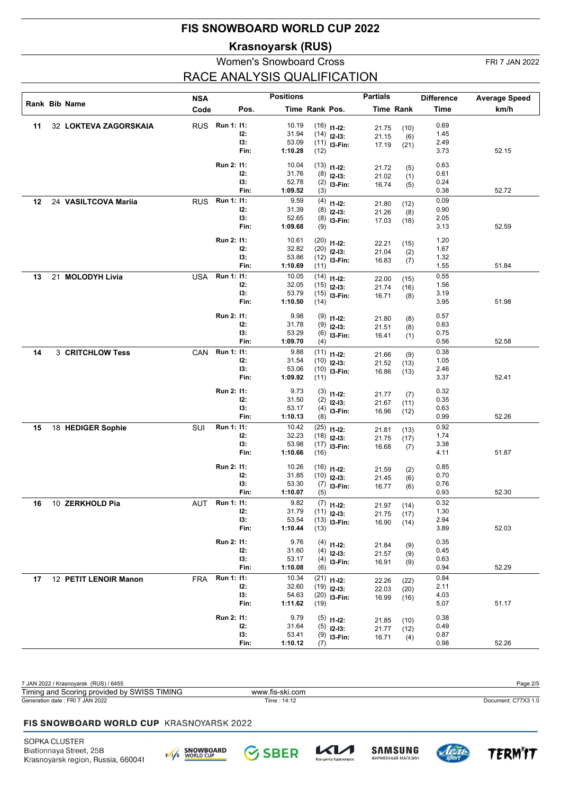**Krasnoyarsk (RUS)**

## Women's Snowboard Cross FRI 7 JAN 2022 RACE ANALYSIS QUALIFICATION

|    |                       | <b>NSA</b> |            |            | <b>Positions</b> |                |                | <b>Partials</b> |                  | <b>Difference</b> | <b>Average Speed</b> |
|----|-----------------------|------------|------------|------------|------------------|----------------|----------------|-----------------|------------------|-------------------|----------------------|
|    | Rank Bib Name         | Code       |            | Pos.       |                  | Time Rank Pos. |                |                 | <b>Time Rank</b> | <b>Time</b>       | km/h                 |
| 11 | 32 LOKTEVA ZAGORSKAIA | <b>RUS</b> | Run 1: 11: |            | 10.19            |                |                |                 |                  | 0.69              |                      |
|    |                       |            |            | I2:        | 31.94            |                | $(16)$ 11-12:  | 21.75           | (10)             | 1.45              |                      |
|    |                       |            |            | 13:        | 53.09            |                | $(14)$ 12-13:  | 21.15           | (6)              | 2.49              |                      |
|    |                       |            |            | Fin:       | 1:10.28          | (12)           | $(11)$ 13-Fin: | 17.19           | (21)             | 3.73              | 52.15                |
|    |                       |            |            |            | 10.04            |                |                |                 |                  |                   |                      |
|    |                       |            | Run 2: 11: | I2:        | 31.76            |                | $(13)$ 11-12:  | 21.72           | (5)              | 0.63<br>0.61      |                      |
|    |                       |            |            | 13:        | 52.78            |                | $(8)$ 12-13:   | 21.02           | (1)              | 0.24              |                      |
|    |                       |            |            | Fin:       | 1:09.52          | (3)            | $(2)$ 13-Fin:  | 16.74           | (5)              | 0.38              | 52.72                |
| 12 | 24 VASILTCOVA Mariia  | <b>RUS</b> | Run 1: 11: |            | 9.59             | (4)            | $11 - 12$ :    | 21.80           | (12)             | 0.09              |                      |
|    |                       |            |            | 12:        | 31.39            |                | $(8)$ 12-13:   | 21.26           | (8)              | 0.90              |                      |
|    |                       |            |            | 13:        | 52.65            |                | $(8)$ 13-Fin:  | 17.03           | (18)             | 2.05              |                      |
|    |                       |            |            | Fin:       | 1:09.68          | (9)            |                |                 |                  | 3.13              | 52.59                |
|    |                       |            | Run 2: 11: |            | 10.61            |                | $(20)$ 11-12:  | 22.21           | (15)             | 1.20              |                      |
|    |                       |            |            | I2:        | 32.82            |                | $(20)$ 12-13:  | 21.04           | (2)              | 1.67              |                      |
|    |                       |            |            | 13:        | 53.86            |                | $(12)$ 13-Fin: | 16.83           | (7)              | 1.32              |                      |
|    |                       |            |            | Fin:       | 1:10.69          | (11)           |                |                 |                  | 1.55              | 51.84                |
| 13 | 21 MOLODYH Livia      | <b>USA</b> | Run 1: 11: |            | 10.05            |                | $(14)$ 11-12:  | 22.00           | (15)             | 0.55              |                      |
|    |                       |            |            | 12:        | 32.05            |                | $(15)$ 12-13:  | 21.74           | (16)             | 1.56              |                      |
|    |                       |            |            | 13:        | 53.79            |                | $(15)$ 13-Fin: | 16.71           | (8)              | 3.19              |                      |
|    |                       |            |            | Fin:       | 1:10.50          | (14)           |                |                 |                  | 3.95              | 51.98                |
|    |                       |            | Run 2: 11: |            | 9.98             |                | $(9)$ 11-12:   |                 |                  | 0.57              |                      |
|    |                       |            |            | I2:        | 31.78            |                | $(9)$ 12-13:   | 21.80           | (8)              | 0.63              |                      |
|    |                       |            |            | 13:        | 53.29            |                | $(6)$ 13-Fin:  | 21.51<br>16.41  | (8)              | 0.75              |                      |
|    |                       |            |            | Fin:       | 1:09.70          | (4)            |                |                 | (1)              | 0.56              | 52.58                |
| 14 | 3 CRITCHLOW Tess      | CAN        | Run 1: 11: |            | 9.88             |                | $(11)$ 11-12:  | 21.66           | (9)              | 0.38              |                      |
|    |                       |            |            | 12:        | 31.54            |                | $(10)$ 12-13:  | 21.52           | (13)             | 1.05              |                      |
|    |                       |            |            | 13:        | 53.06            |                | $(10)$ 13-Fin: | 16.86           | (13)             | 2.46              |                      |
|    |                       |            |            | Fin:       | 1:09.92          | (11)           |                |                 |                  | 3.37              | 52.41                |
|    |                       |            | Run 2: 11: |            | 9.73             |                | $(3)$ 11-12:   |                 |                  | 0.32              |                      |
|    |                       |            |            | I2:        | 31.50            |                | $(2)$ 12-13:   | 21.77<br>21.67  | (7)              | 0.35              |                      |
|    |                       |            |            | 13:        | 53.17            |                | $(4)$ 13-Fin:  | 16.96           | (11)<br>(12)     | 0.63              |                      |
|    |                       |            |            | Fin:       | 1:10.13          | (8)            |                |                 |                  | 0.99              | 52.26                |
| 15 | 18 HEDIGER Sophie     | SUI        | Run 1: 11: |            | 10.42            |                | $(25)$ 11-12:  | 21.81           | (13)             | 0.92              |                      |
|    |                       |            |            | 12:        | 32.23            |                | $(18)$ 12-13:  | 21.75           | (17)             | 1.74              |                      |
|    |                       |            |            | 13:        | 53.98            |                | $(17)$ 13-Fin: | 16.68           | (7)              | 3.38              |                      |
|    |                       |            |            | Fin:       | 1:10.66          | (16)           |                |                 |                  | 4.11              | 51.87                |
|    |                       |            | Run 2: 11: |            | 10.26            |                | $(16)$ 11-12:  | 21.59           | (2)              | 0.85              |                      |
|    |                       |            |            | 12:        | 31.85            |                | $(10)$ 12-13:  | 21.45           | (6)              | 0.70              |                      |
|    |                       |            |            | 13:        | 53.30            |                | $(7)$ 13-Fin:  | 16.77           | (6)              | 0.76              |                      |
|    |                       |            |            | Fin:       | 1:10.07          | (5)            |                |                 |                  | 0.93              | 52.30                |
| 16 | 10 ZERKHOLD Pia       | AUT        | Run 1: 11: |            | 9.82             |                | $(7)$ 11-12:   | 21.97           | (14)             | 0.32              |                      |
|    |                       |            |            | 12:        | 31.79            |                | $(11)$ 12-13:  | 21.75           | (17)             | 1.30              |                      |
|    |                       |            |            | 13:        | 53.54            |                | $(13)$ 13-Fin: | 16.90           | (14)             | 2.94              |                      |
|    |                       |            |            | Fin:       | 1:10.44          | (13)           |                |                 |                  | 3.89              | 52.03                |
|    |                       |            | Run 2: 11: |            | 9.76             |                | $(4)$ 11-12:   | 21.84           | (9)              | 0.35              |                      |
|    |                       |            |            | 12:        | 31.60            |                | $(4)$ 12-13:   | 21.57           | (9)              | 0.45              |                      |
|    |                       |            |            | 13:        | 53.17            |                | $(4)$ 13-Fin:  | 16.91           | (9)              | 0.63              |                      |
|    |                       |            |            | Fin:       | 1:10.08          | (6)            |                |                 |                  | 0.94              | 52.29                |
| 17 | 12 PETIT LENOIR Manon | <b>FRA</b> | Run 1: 11: |            | 10.34            |                | $(21)$ 11-12:  | 22.26           | (22)             | 0.84              |                      |
|    |                       |            |            | 12:<br>13: | 32.60<br>54.63   |                | $(19)$ 12-13:  | 22.03           | (20)             | 2.11              |                      |
|    |                       |            |            | Fin:       | 1:11.62          | (19)           | $(20)$ 13-Fin: | 16.99           | (16)             | 4.03<br>5.07      | 51.17                |
|    |                       |            |            |            |                  |                |                |                 |                  |                   |                      |
|    |                       |            | Run 2: 11: |            | 9.79             |                | $(5)$ 11-12:   | 21.85           | (10)             | 0.38              |                      |
|    |                       |            |            | 12:        | 31.64            |                | $(5)$ 12-13:   | 21.77           | (12)             | 0.49              |                      |
|    |                       |            |            | 13:        | 53.41<br>1:10.12 |                | $(9)$ 13-Fin:  | 16.71           | (4)              | 0.87              | 52.26                |
|    |                       |            |            | Fin:       |                  | (7)            |                |                 |                  | 0.98              |                      |

| 7 JAN 2022 / Krasnoyarsk (RUS) / 6455           |                 | Page 2/5            |
|-------------------------------------------------|-----------------|---------------------|
| Timing and Scoring provided by SWISS TIMING     | www.fis-ski.com |                     |
| Generation date: FRI 7 JAN 2022                 | Time : 14:12    | Document: C77X3 1.0 |
|                                                 |                 |                     |
| <b>FIS SNOWBOARD WORLD CUP KRASNOYARSK 2022</b> |                 |                     |
|                                                 |                 |                     |

**SBER** 





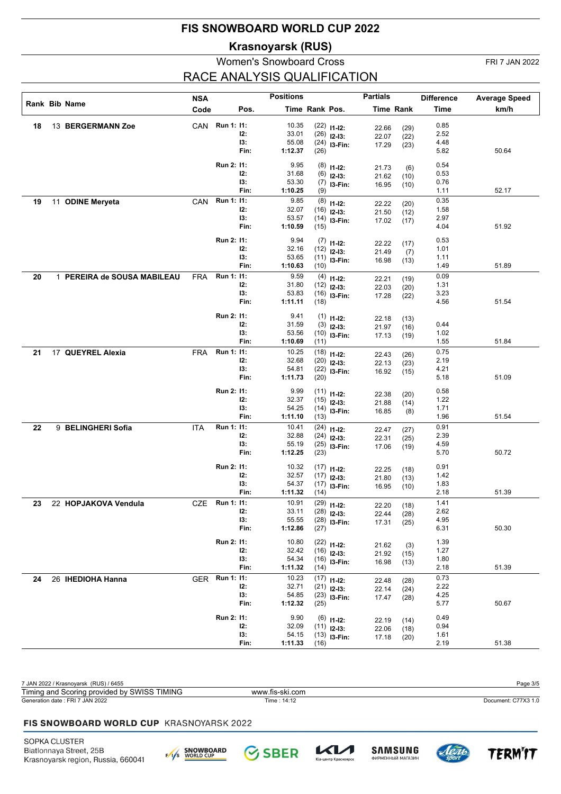**Krasnoyarsk (RUS)**

## Women's Snowboard Cross FRI 7 JAN 2022

# RACE ANALYSIS QUALIFICATION

|    |                             | <b>NSA</b> |                |             | <b>Positions</b> |                |                                | <b>Partials</b> |                  | <b>Difference</b> | <b>Average Speed</b> |
|----|-----------------------------|------------|----------------|-------------|------------------|----------------|--------------------------------|-----------------|------------------|-------------------|----------------------|
|    | Rank Bib Name               | Code       |                | Pos.        |                  | Time Rank Pos. |                                |                 | <b>Time Rank</b> | Time              | km/h                 |
| 18 | 13 BERGERMANN Zoe           |            | CAN Run 1: 11: |             | 10.35            |                | $(22)$ 11-12:                  |                 |                  | 0.85              |                      |
|    |                             |            |                | 12:         | 33.01            |                | $(26)$ 12-13:                  | 22.66<br>22.07  | (29)<br>(22)     | 2.52              |                      |
|    |                             |            |                | 13:         | 55.08            |                | $(24)$ 13-Fin:                 | 17.29           | (23)             | 4.48              |                      |
|    |                             |            |                | Fin:        | 1:12.37          | (26)           |                                |                 |                  | 5.82              | 50.64                |
|    |                             |            | Run 2: 11:     |             | 9.95             |                | $(8)$ 11-12:                   |                 |                  | 0.54              |                      |
|    |                             |            |                | 12:         | 31.68            |                | $(6)$ 12-13:                   | 21.73<br>21.62  | (6)<br>(10)      | 0.53              |                      |
|    |                             |            |                | 13:         | 53.30            |                | $(7)$ 13-Fin:                  | 16.95           | (10)             | 0.76              |                      |
|    |                             |            |                | Fin:        | 1:10.25          | (9)            |                                |                 |                  | 1.11              | 52.17                |
| 19 | 11 ODINE Meryeta            | CAN        | Run 1: 11:     |             | 9.85             |                | $(8)$ 11-12:                   | 22.22           | (20)             | 0.35              |                      |
|    |                             |            |                | 12:         | 32.07            |                | $(16)$ 12-13:                  | 21.50           | (12)             | 1.58              |                      |
|    |                             |            |                | 13:<br>Fin: | 53.57<br>1:10.59 | (15)           | $(14)$ 13-Fin:                 | 17.02           | (17)             | 2.97<br>4.04      | 51.92                |
|    |                             |            |                |             |                  |                |                                |                 |                  |                   |                      |
|    |                             |            | Run 2: 11:     |             | 9.94             |                | $(7)$ 11-12:                   | 22.22           | (17)             | 0.53              |                      |
|    |                             |            |                | 12:         | 32.16            |                | $(12)$ 12-13:                  | 21.49           | (7)              | 1.01              |                      |
|    |                             |            |                | 13:<br>Fin: | 53.65<br>1:10.63 | (10)           | $(11)$ 13-Fin:                 | 16.98           | (13)             | 1.11<br>1.49      | 51.89                |
|    |                             |            | Run 1: 11:     |             | 9.59             |                |                                |                 |                  | 0.09              |                      |
| 20 | 1 PEREIRA de SOUSA MABILEAU | <b>FRA</b> |                | 12:         | 31.80            |                | $(4)$ 11-12:<br>$(12)$ 12-13:  | 22.21           | (19)             | 1.31              |                      |
|    |                             |            |                | 13:         | 53.83            |                | $(16)$ 13-Fin:                 | 22.03<br>17.28  | (20)             | 3.23              |                      |
|    |                             |            |                | Fin:        | 1:11.11          | (18)           |                                |                 | (22)             | 4.56              | 51.54                |
|    |                             |            | Run 2: 11:     |             | 9.41             |                |                                |                 |                  |                   |                      |
|    |                             |            |                | 12:         | 31.59            |                | $(1)$ 11-12:<br>$(3)$ 12-13:   | 22.18           | (13)             | 0.44              |                      |
|    |                             |            |                | 13:         | 53.56            |                | $(10)$ 13-Fin:                 | 21.97<br>17.13  | (16)<br>(19)     | 1.02              |                      |
|    |                             |            |                | Fin:        | 1:10.69          | (11)           |                                |                 |                  | 1.55              | 51.84                |
| 21 | 17 QUEYREL Alexia           | <b>FRA</b> | Run 1: 11:     |             | 10.25            |                | $(18)$ 11-12:                  | 22.43           | (26)             | 0.75              |                      |
|    |                             |            |                | 12:         | 32.68            |                | $(20)$ 12-13:                  | 22.13           | (23)             | 2.19              |                      |
|    |                             |            |                | 13:         | 54.81            |                | $(22)$ 13-Fin:                 | 16.92           | (15)             | 4.21              |                      |
|    |                             |            |                | Fin:        | 1:11.73          | (20)           |                                |                 |                  | 5.18              | 51.09                |
|    |                             |            | Run 2: 11:     |             | 9.99             |                | $(11)$ $11-12$ :               | 22.38           | (20)             | 0.58              |                      |
|    |                             |            |                | 12:         | 32.37            |                | $(15)$ 12-13:                  | 21.88           | (14)             | 1.22              |                      |
|    |                             |            |                | 13:<br>Fin: | 54.25            |                | $(14)$ 13-Fin:                 | 16.85           | (8)              | 1.71<br>1.96      | 51.54                |
|    |                             |            | Run 1: 11:     |             | 1:11.10<br>10.41 | (13)           |                                |                 |                  | 0.91              |                      |
| 22 | 9 BELINGHERI Sofia          | ITA        |                | 12:         | 32.88            |                | $(24)$ 11-12:<br>$(24)$ 12-13: | 22.47           | (27)             | 2.39              |                      |
|    |                             |            |                | 13:         | 55.19            |                | $(25)$ 13-Fin:                 | 22.31<br>17.06  | (25)<br>(19)     | 4.59              |                      |
|    |                             |            |                | Fin:        | 1:12.25          | (23)           |                                |                 |                  | 5.70              | 50.72                |
|    |                             |            | Run 2: 11:     |             | 10.32            |                |                                |                 |                  | 0.91              |                      |
|    |                             |            |                | 12:         | 32.57            |                | $(17)$ 11-12:<br>$(17)$ 12-13: | 22.25           | (18)             | 1.42              |                      |
|    |                             |            |                | 13:         | 54.37            |                | $(17)$ 13-Fin:                 | 21.80<br>16.95  | (13)<br>(10)     | 1.83              |                      |
|    |                             |            |                | Fin:        | 1:11.32          | (14)           |                                |                 |                  | 2.18              | 51.39                |
| 23 | 22 HOPJAKOVA Vendula        | CZE        | Run 1: 11:     |             | 10.91            |                | $(29)$ 11-12:                  | 22.20           | (18)             | 1.41              |                      |
|    |                             |            |                | 12:         | 33.11            |                | $(28)$ 12-13:                  | 22.44           | (28)             | 2.62              |                      |
|    |                             |            |                | 13:         | 55.55            |                | $(28)$ 13-Fin:                 | 17.31           | (25)             | 4.95              |                      |
|    |                             |            |                | Fin:        | 1:12.86          | (27)           |                                |                 |                  | 6.31              | 50.30                |
|    |                             |            | Run 2: 11:     |             | 10.80            |                | $(22)$ 11-12:                  | 21.62           | (3)              | 1.39              |                      |
|    |                             |            |                | 12:         | 32.42            |                | $(16)$ 12-13:                  | 21.92           | (15)             | 1.27              |                      |
|    |                             |            |                | 13:         | 54.34            |                | $(16)$ 13-Fin:                 | 16.98           | (13)             | 1.80              | 51.39                |
|    |                             |            | Run 1: 11:     | Fin:        | 1:11.32<br>10.23 | (14)           |                                |                 |                  | 2.18<br>0.73      |                      |
| 24 | 26 IHEDIOHA Hanna           | GER        |                | 12:         | 32.71            |                | $(17)$ 11-12:<br>$(21)$ 12-13: | 22.48           | (28)             | 2.22              |                      |
|    |                             |            |                | 13:         | 54.85            |                | $(23)$ 13-Fin:                 | 22.14<br>17.47  | (24)             | 4.25              |                      |
|    |                             |            |                | Fin:        | 1:12.32          | (25)           |                                |                 | (28)             | 5.77              | 50.67                |
|    |                             |            | Run 2: 11:     |             | 9.90             |                |                                |                 |                  | 0.49              |                      |
|    |                             |            |                | 12:         | 32.09            |                | $(6)$ 11-12:<br>$(11)$ 12-13:  | 22.19           | (14)             | 0.94              |                      |
|    |                             |            |                | 13:         | 54.15            |                | $(13)$ 13-Fin:                 | 22.06<br>17.18  | (18)<br>(20)     | 1.61              |                      |
|    |                             |            |                | Fin:        | 1:11.33          | (16)           |                                |                 |                  | 2.19              | 51.38                |

| 7 JAN 2022 / Krasnoyarsk (RUS) / 6455           |                 | Page 3/5            |
|-------------------------------------------------|-----------------|---------------------|
| Timing and Scoring provided by SWISS TIMING     | www.fis-ski.com |                     |
| Generation date: FRI 7 JAN 2022                 | Time: 14:12     | Document: C77X3 1.0 |
|                                                 |                 |                     |
| <b>FIS SNOWBOARD WORLD CUP KRASNOYARSK 2022</b> |                 |                     |
|                                                 |                 |                     |

**SBER** 

 $\mathcal{K}$ 

 $\overline{\mathbf{v}}$ ia-i

— —<br>нтр Красно

**SAMSUNG** 

**ФИРМЕННЫЙ МАГАЗИН** 

**TERM'IT** 

 $Le$ 16

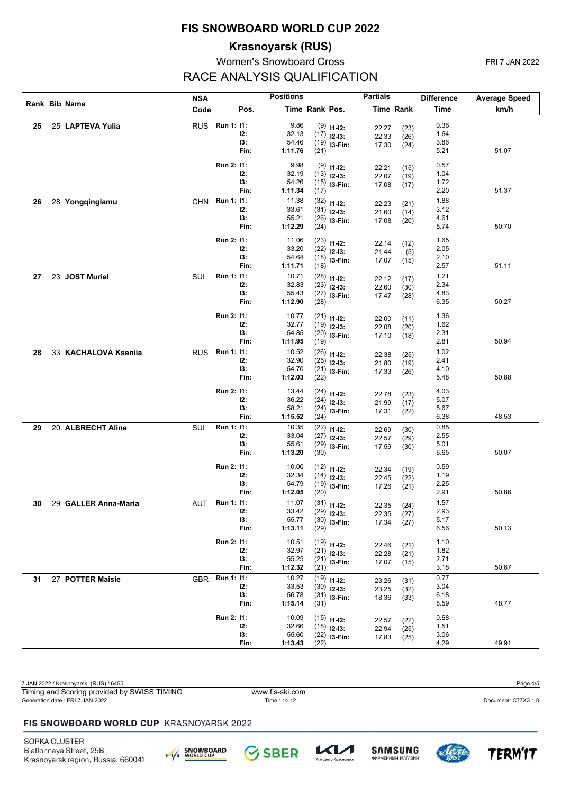**Krasnoyarsk (RUS)**

## Women's Snowboard Cross FRI 7 JAN 2022 RACE ANALYSIS QUALIFICATION

|    |                      | <b>NSA</b> |            |             | <b>Positions</b> |                |                                 | <b>Partials</b> |                  | <b>Difference</b> | <b>Average Speed</b> |
|----|----------------------|------------|------------|-------------|------------------|----------------|---------------------------------|-----------------|------------------|-------------------|----------------------|
|    | Rank Bib Name        | Code       |            | Pos.        |                  | Time Rank Pos. |                                 |                 | <b>Time Rank</b> | <b>Time</b>       | km/h                 |
| 25 | 25 LAPTEVA Yulia     | <b>RUS</b> | Run 1: 11: |             | 9.86             |                | $(9)$ 11-12:                    |                 |                  | 0.36              |                      |
|    |                      |            |            | 12:         | 32.13            |                | $(17)$ 12-13:                   | 22.27<br>22.33  | (23)             | 1.64              |                      |
|    |                      |            |            | 13:         | 54.46            |                | $(19)$ 13-Fin:                  | 17.30           | (26)<br>(24)     | 3.86              |                      |
|    |                      |            |            | Fin:        | 1:11.76          | (21)           |                                 |                 |                  | 5.21              | 51.07                |
|    |                      |            | Run 2: 11: |             | 9.98             |                | $(9)$ 11-12:                    | 22.21           | (15)             | 0.57              |                      |
|    |                      |            |            | 12:         | 32.19            |                | $(13)$ 12-13:                   | 22.07           | (19)             | 1.04              |                      |
|    |                      |            |            | 13:         | 54.26            |                | $(15)$ 13-Fin:                  | 17.08           | (17)             | 1.72              |                      |
|    |                      |            |            | Fin:        | 1:11.34          | (17)           |                                 |                 |                  | 2.20              | 51.37                |
| 26 | 28 Yongqinglamu      | <b>CHN</b> | Run 1: 11: |             | 11.38            |                | $(32)$ 11-12:                   | 22.23           | (21)             | 1.88              |                      |
|    |                      |            |            | I2:<br>13:  | 33.61            |                | $(31)$ 12-13:                   | 21.60           | (14)             | 3.12              |                      |
|    |                      |            |            | Fin:        | 55.21<br>1:12.29 | (24)           | $(26)$ 13-Fin:                  | 17.08           | (20)             | 4.61<br>5.74      | 50.70                |
|    |                      |            |            |             |                  |                |                                 |                 |                  |                   |                      |
|    |                      |            | Run 2: 11: |             | 11.06            |                | $(23)$ 11-12:                   | 22.14           | (12)             | 1.65              |                      |
|    |                      |            |            | I2:         | 33.20            |                | $(22)$ 12-13:                   | 21.44           | (5)              | 2.05              |                      |
|    |                      |            |            | I3:<br>Fin: | 54.64<br>1:11.71 |                | $(18)$ 13-Fin:                  | 17.07           | (15)             | 2.10<br>2.57      | 51.11                |
|    |                      |            |            |             |                  | (18)           |                                 |                 |                  | 1.21              |                      |
| 27 | 23 JOST Muriel       | SUI        | Run 1: 11: | 12:         | 10.71<br>32.83   |                | $(28)$ 11-12:                   | 22.12           | (17)             | 2.34              |                      |
|    |                      |            |            | 13:         | 55.43            |                | $(23)$ 12-13:<br>$(27)$ 13-Fin: | 22.60           | (30)             | 4.83              |                      |
|    |                      |            |            | Fin:        | 1:12.90          | (28)           |                                 | 17.47           | (28)             | 6.35              | 50.27                |
|    |                      |            |            |             |                  |                |                                 |                 |                  |                   |                      |
|    |                      |            | Run 2: 11: | 12:         | 10.77<br>32.77   |                | $(21)$ 11-12:                   | 22.00           | (11)             | 1.36<br>1.62      |                      |
|    |                      |            |            | 13:         | 54.85            |                | $(19)$ 12-13:<br>$(20)$ 13-Fin: | 22.08           | (20)             | 2.31              |                      |
|    |                      |            |            | Fin:        | 1:11.95          | (19)           |                                 | 17.10           | (18)             | 2.81              | 50.94                |
| 28 | 33 KACHALOVA Kseniia | <b>RUS</b> | Run 1: 11: |             | 10.52            |                | $(26)$ 11-12:                   |                 |                  | 1.02              |                      |
|    |                      |            |            | 12:         | 32.90            |                | $(25)$ 12-13:                   | 22.38<br>21.80  | (25)<br>(19)     | 2.41              |                      |
|    |                      |            |            | 13:         | 54.70            |                | $(21)$ 13-Fin:                  | 17.33           | (26)             | 4.10              |                      |
|    |                      |            |            | Fin:        | 1:12.03          | (22)           |                                 |                 |                  | 5.48              | 50.88                |
|    |                      |            | Run 2: 11: |             | 13.44            |                | $(24)$ 11-12:                   |                 |                  | 4.03              |                      |
|    |                      |            |            | 12:         | 36.22            |                | $(24)$ 12-13:                   | 22.78<br>21.99  | (23)<br>(17)     | 5.07              |                      |
|    |                      |            |            | 13:         | 58.21            |                | $(24)$ 13-Fin:                  | 17.31           | (22)             | 5.67              |                      |
|    |                      |            |            | Fin:        | 1:15.52          | (24)           |                                 |                 |                  | 6.38              | 48.53                |
| 29 | 20 ALBRECHT Aline    | SUI        | Run 1: 11: |             | 10.35            |                | $(22)$ 11-12:                   | 22.69           | (30)             | 0.85              |                      |
|    |                      |            |            | I2:         | 33.04            |                | $(27)$ 12-13:                   | 22.57           | (29)             | 2.55              |                      |
|    |                      |            |            | 13:<br>Fin: | 55.61<br>1:13.20 | (30)           | $(29)$ 13-Fin:                  | 17.59           | (30)             | 5.01<br>6.65      | 50.07                |
|    |                      |            |            |             |                  |                |                                 |                 |                  |                   |                      |
|    |                      |            | Run 2: 11: |             | 10.00            |                | $(12)$ 11-12:                   | 22.34           | (19)             | 0.59              |                      |
|    |                      |            |            | I2:         | 32.34            |                | $(14)$ 12-13:                   | 22.45           | (22)             | 1.19              |                      |
|    |                      |            |            | 13:<br>Fin: | 54.79<br>1:12.05 |                | $(19)$ 13-Fin:                  | 17.26           | (21)             | 2.25<br>2.91      | 50.86                |
|    |                      |            |            |             |                  | (20)           |                                 |                 |                  | $\overline{1.57}$ |                      |
| 30 | 29 GALLER Anna-Maria | AUT        | Run 1: 11: | I2:         | 11.07<br>33.42   |                | $(31)$ 11-12:                   | 22.35           | (24)             | 2.93              |                      |
|    |                      |            |            | 13:         | 55.77            |                | $(29)$ 12-13:<br>$(30)$ 13-Fin: | 22.35<br>17.34  | (27)             | 5.17              |                      |
|    |                      |            |            | Fin:        | 1:13.11          | (29)           |                                 |                 | (27)             | 6.56              | 50.13                |
|    |                      |            | Run 2: 11: |             | 10.51            |                |                                 |                 |                  | 1.10              |                      |
|    |                      |            |            | 12:         | 32.97            |                | $(19)$ 11-12:<br>$(21)$ 12-13:  | 22.46           | (21)             | 1.82              |                      |
|    |                      |            |            | 13:         | 55.25            |                | $(21)$ 13-Fin:                  | 22.28<br>17.07  | (21)             | 2.71              |                      |
|    |                      |            |            | Fin:        | 1:12.32          | (21)           |                                 |                 | (15)             | 3.18              | 50.67                |
| 31 | 27 POTTER Maisie     | <b>GBR</b> | Run 1: 11: |             | 10.27            |                | $(19)$ 11-12:                   | 23.26           | (31)             | 0.77              |                      |
|    |                      |            |            | 12:         | 33.53            |                | $(30)$ 12-13:                   | 23.25           | (32)             | 3.04              |                      |
|    |                      |            |            | 13:         | 56.78            |                | $(31)$ 13-Fin:                  | 18.36           | (33)             | 6.18              |                      |
|    |                      |            |            | Fin:        | 1:15.14          | (31)           |                                 |                 |                  | 8.59              | 48.77                |
|    |                      |            | Run 2: 11: |             | 10.09            |                | $(15)$ 11-12:                   | 22.57           | (22)             | 0.68              |                      |
|    |                      |            |            | 12:         | 32.66            |                | $(18)$ 12-13:                   | 22.94           | (25)             | 1.51              |                      |
|    |                      |            |            | 13:         | 55.60            |                | $(22)$ 13-Fin:                  | 17.83           | (25)             | 3.06              |                      |
|    |                      |            |            | Fin:        | 1:13.43          | (22)           |                                 |                 |                  | 4.29              | 49.91                |

| 7 JAN 2022 / Krasnoyarsk (RUS) / 6455           |                 | Page 4/5            |
|-------------------------------------------------|-----------------|---------------------|
| Timing and Scoring provided by SWISS TIMING     | www.fis-ski.com |                     |
| Generation date: FRI 7 JAN 2022                 | Time: 14:12     | Document: C77X3 1.0 |
|                                                 |                 |                     |
| <b>FIS SNOWBOARD WORLD CUP KRASNOYARSK 2022</b> |                 |                     |